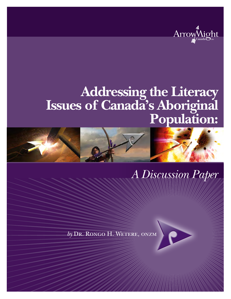

# **Addressing the Literacy Issues of Canada's Aboriginal Population:**



## *A Discussion Paper*

*by* Dr. Rongo H. Wetere, onzm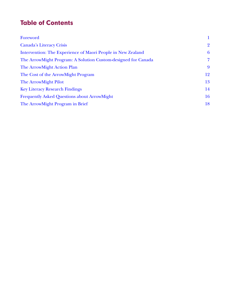## **Table of Contents**

| Foreword                                                      | 1              |
|---------------------------------------------------------------|----------------|
| <b>Canada's Literacy Crisis</b>                               | $\overline{2}$ |
| Intervention: The Experience of Maori People in New Zealand   | 6              |
| The ArrowMight Program: A Solution Custom-designed for Canada | $\overline{7}$ |
| The ArrowMight Action Plan                                    | 9              |
| The Cost of the ArrowMight Program                            | 12             |
| The ArrowMight Pilot                                          | 13             |
| <b>Key Literacy Research Findings</b>                         | 14             |
| <b>Frequently Asked Questions about ArrowMight</b>            | 16             |
| The ArrowMight Program in Brief                               | 18             |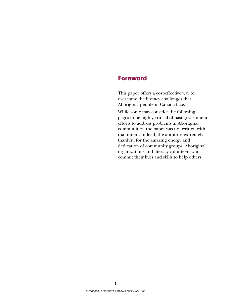#### <span id="page-3-0"></span>**Foreword**

This paper offers a cost-effective way to overcome the literacy challenges that Aboriginal people in Canada face.

While some may consider the following pages to be highly critical of past government efforts to address problems in Aboriginal communities, the paper was not written with that intent. Indeed, the author is extremely thankful for the amazing energy and dedication of community groups, Aboriginal organizations and literacy volunteers who commit their lives and skills to help others.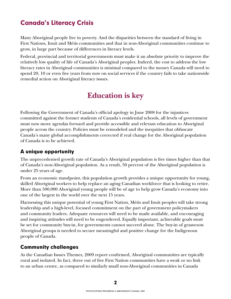## <span id="page-4-0"></span>**Canada's Literacy Crisis**

Many Aboriginal people live in poverty. And the disparities between the standard of living in First Nations, Inuit and Métis communities and that in non-Aboriginal communities continue to grow, in large part because of differences in literacy levels.

Federal, provincial and territorial governments must make it an absolute priority to improve the relatively low quality of life of Canada's Aboriginal peoples. Indeed, the cost to address the low literacy rates in Aboriginal communities is minimal compared to the money Canada will need to spend 20, 10 or even five years from now on social services if the country fails to take nationwide remedial action on Aboriginal literacy issues.

## **Education is key**

Following the Government of Canada's official apology in June 2008 for the injustices committed against the former students of Canada's residential schools, all levels of government must now move agendas forward and provide accessible and relevant education to Aboriginal people across the country. Policies must be remodeled and the inequities that obfuscate Canada's many global accomplishments corrected if real change for the Aboriginal population of Canada is to be achieved.

#### **A unique opportunity**

The unprecedented growth rate of Canada's Aboriginal population is five times higher than that of Canada's non-Aboriginal population. As a result, 50 percent of the Aboriginal population is under 25 years of age.

From an economic standpoint, this population growth provides a unique opportunity for young, skilled Aboriginal workers to help replace an aging Canadian workforce that is looking to retire. More than 500,000 Aboriginal young people will be of age to help grow Canada's economy into one of the largest in the world over the next 15 years.

Harnessing this unique potential of young First Nation, Métis and Inuit peoples will take strong leadership and a high-level, focused commitment on the part of government policymakers and community leaders. Adequate resources will need to be made available, and encouraging and inspiring attitudes will need to be engendered. Equally important, achievable goals must be set for community buy-in, for governments cannot succeed alone. The buy-in of grassroots Aboriginal groups is needed to secure meaningful and positive change for the Indigenous people of Canada.

#### **Community challenges**

As the Canadian Issues Themes, 2009 report confirmed, Aboriginal communities are typically rural and isolated. In fact, three out of five First Nation communities have a weak or no link to an urban centre, as compared to similarly small non-Aboriginal communities in Canada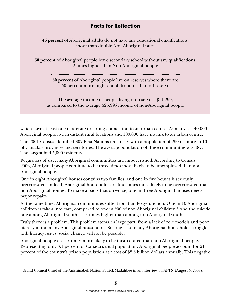#### **Facts for Reflection**

**45 percent** of Aboriginal adults do not have any educational qualifications, more than double Non-Aboriginal rates

**50 percent** of Aboriginal people leave secondary school without any qualifications, 2 times higher than Non-Aboriginal people

**50 percent** of Aboriginal people live on reserves where there are 50 percent more high-school dropouts than off reserve

The average income of people living on-reserve is \$11,299, as compared to the average \$25,995 income of non-Aboriginal people

which have at least one moderate or strong connection to an urban centre. As many as 140,000 Aboriginal people live in distant rural locations and 100,000 have no link to an urban centre.

The 2001 Census identified 307 First Nations territories with a population of 250 or more in 10 of Canada's provinces and territories. The average population of these communities was 487. The largest had 5,000 residents.

Regardless of size, many Aboriginal communities are impoverished. According to Census 2006, Aboriginal people continue to be three times more likely to be unemployed than non-Aboriginal people.

One in eight Aboriginal houses contains two families, and one in five houses is seriously overcrowded. Indeed, Aboriginal households are four times more likely to be overcrowded than non-Aboriginal homes. To make a bad situation worse, one in three Aboriginal houses needs major repairs.

At the same time, Aboriginal communities suffer from family dysfunction. One in 10 Aboriginal children is taken into care, compared to one in 200 of non-Aboriginal children.<sup>1</sup> And the suicide rate among Aboriginal youth is six times higher than among non-Aboriginal youth.

Truly there is a problem. This problem stems, in large part, from a lack of role models and poor literacy in too many Aboriginal households. So long as so many Aboriginal households struggle with literacy issues, social change will not be possible.

Aboriginal people are six times more likely to be incarcerated than non-Aboriginal people. Representing only 3.1 percent of Canada's total population, Aboriginal people account for 21 percent of the country's prison population at a cost of \$2.5 billion dollars annually. This negative

<sup>1</sup> Grand Council Chief of the Anishinabek Nation Patrick Madahbee in an interview on APTN (August 5, 2009).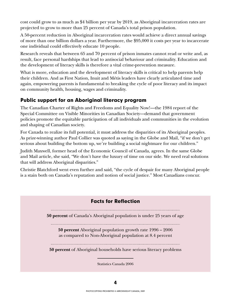cost could grow to as much as \$4 billion per year by 2019, as Aboriginal incarceration rates are projected to grow to more than 25 percent of Canada's total prison population.

A 50-percent reduction in Aboriginal incarceration rates would achieve a direct annual savings of more than one billion dollars a year. Furthermore, the \$95,000 it costs per year to incarcerate one individual could effectively educate 10 people.

Research reveals that between 65 and 70 percent of prison inmates cannot read or write and, as result, face personal hardships that lead to antisocial behaviour and criminality. Education and the development of literacy skills is therefore a vital crime-prevention measure.

What is more, education and the development of literacy skills is critical to help parents help their children. And as First Nation, Inuit and Métis leaders have clearly articulated time and again, empowering parents is fundamental to breaking the cycle of poor literacy and its impact on community health, housing, wages and criminality.

#### **Public support for an Aboriginal literacy program**

The Canadian Charter of Rights and Freedoms and Equality Now!—the 1984 report of the Special Committee on Visible Minorities in Canadian Society—demand that government policies promote the equitable participation of all individuals and communities in the evolution and shaping of Canadian society.

For Canada to realize its full potential, it must address the disparities of its Aboriginal peoples. As prize-winning author Paul Collier was quoted as saying in the Globe and Mail, "if we don't get serious about building the bottom up, we're building a social nightmare for our children."

Judith Maxwell, former head of the Economic Council of Canada, agrees. In the same Globe and Mail article, she said, "We don't have the luxury of time on our side. We need real solutions that will address Aboriginal disparities."

Christie Blatchford went even further and said, "the cycle of despair for many Aboriginal people is a stain both on Canada's reputation and notion of social justice." Most Canadians concur.

#### **Facts for Reflection**

**50 percent** of Canada's Aboriginal population is under 25 years of age

**50 percent** Aboriginal population growth rate 1996 – 2006 as compared to Non-Aboriginal population at 8.4 percent

**50 percent** of Aboriginal households have serious literacy problems

Statistics Canada 2006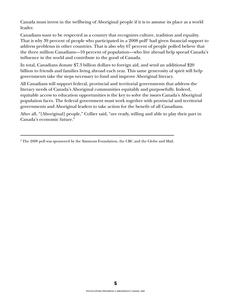Canada must invest in the wellbeing of Aboriginal people if it is to assume its place as a world leader.

Canadians want to be respected as a country that recognizes culture, tradition and equality. That is why 39 percent of people who participated in a 2008 poll<sup>2</sup> had given financial support to address problems in other countries. That is also why 67 percent of people polled believe that the three million Canadians—10 percent of population—who live abroad help spread Canada's influence in the world and contribute to the good of Canada.

In total, Canadians donate \$7.3 billion dollars to foreign aid, and send an additional \$20 billion to friends and families living abroad each year. This same generosity of spirit will help governments take the steps necessary to fund and improve Aboriginal literacy.

All Canadians will support federal, provincial and territorial governments that address the literacy needs of Canada's Aboriginal communities equitably and purposefully. Indeed, equitable access to education opportunities is the key to solve the issues Canada's Aboriginal population faces. The federal government must work together with provincial and territorial governments and Aboriginal leaders to take action for the benefit of all Canadians.

After all, "[Aboriginal] people," Collier said, "are ready, willing and able to play their part in Canada's economic future."

 $^2$  The 2008 poll was sponsored by the Simmons Foundation, the CBC and the Globe and Mail.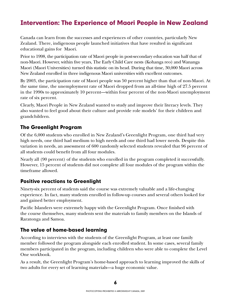## <span id="page-8-0"></span>**Intervention: The Experience of Maori People in New Zealand**

Canada can learn from the successes and experiences of other countries, particularly New Zealand. There, indigenous people launched initiatives that have resulted in significant educational gains for Maori.

Prior to 1998, the participation rate of Maori people in post-secondary education was half that of non-Maori. However, within five years, The Early Child Care nests (Kohanga reo) and Wananga Maori (Maori Universities) turned this statistic on its head. During that time, 30,000 Maori across New Zealand enrolled in three indigenous Maori universities with excellent outcomes.

By 2003, the participation rate of Maori people was 50 percent higher than that of non-Maori. At the same time, the unemployment rate of Maori dropped from an all-time high of 27.5 percent in the 1990s to approximately 10 percent—within four percent of the non-Maori unemployment rate of six percent.

Clearly, Maori People in New Zealand wanted to study and improve their literacy levels. They also wanted to feel good about their culture and provide role models' for their children and grandchildren.

#### **The Greenlight Program**

Of the 6,000 students who enrolled in New Zealand's Greenlight Program, one third had very high needs, one third had medium to high needs and one third had lower needs. Despite this variation in needs, an assessment of 600 randomly selected students revealed that 96 percent of all students could benefit from all four modules.

Nearly all (90 percent) of the students who enrolled in the program completed it successfully. However, 15 percent of students did not complete all four modules of the program within the timeframe allowed.

#### **Positive reactions to Greenlight**

Ninety-six percent of students said the course was extremely valuable and a life-changing experience. In fact, many students enrolled in follow-up courses and several others looked for and gained better employment.

Pacific Islanders were extremely happy with the Greenlight Program. Once finished with the course themselves, many students sent the materials to family members on the Islands of Raratonga and Samoa.

#### **The value of home-based learning**

According to interviews with the students of the Greenlight Program, at least one family member followed the program alongside each enrolled student. In some cases, several family members participated in the program, including children who were able to complete the Level One workbook.

As a result, the Greenlight Program's home-based approach to learning improved the skills of two adults for every set of learning materials—a huge economic value.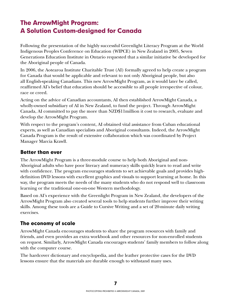## <span id="page-9-0"></span>**The ArrowMight Program: A Solution Custom-designed for Canada**

Following the presentation of the highly successful Greenlight Literacy Program at the World Indigenous Peoples Conference on Education (WIPCE) in New Zealand in 2005, Seven Generations Education Institute in Ontario requested that a similar initiative be developed for the Aboriginal people of Canada.

In 2006, the Aotearoa Institute Charitable Trust (AI) formally agreed to help create a program for Canada that would be applicable and relevant to not only Aboriginal people, but also all English-speaking Canadians. This new ArrowMight Program, as it would later be called, reaffirmed AI's belief that education should be accessible to all people irrespective of colour, race or creed.

Acting on the advice of Canadian accountants, AI then established ArrowMight Canada, a wholly-owned subsidiary of AI in New Zealand, to fund the project. Through ArrowMight Canada, AI committed to pay the more than NZD\$11million it cost to research, evaluate and develop the ArrowMight Program.

With respect to the program's content, AI obtained vital assistance from Cuban educational experts, as well as Canadian specialists and Aboriginal consultants. Indeed, the ArrowMight Canada Program is the result of extensive collaboration which was coordinated by Project Manager Marcia Krawll.

#### **Better than ever**

The ArrowMight Program is a three-module course to help both Aboriginal and non-Aboriginal adults who have poor literacy and numeracy skills quickly learn to read and write with confidence. The program encourages students to set achievable goals and provides highdefinition DVD lessons with excellent graphics and visuals to support learning at home. In this way, the program meets the needs of the many students who do not respond well to classroom learning or the traditional one-on-one Western methodology.

Based on AI's experience with the Greenlight Program in New Zealand, the developers of the ArrowMight Program also created several tools to help students further improve their writing skills. Among these tools are a Guide to Cursive Writing and a set of 20-minute daily writing exercises.

#### **The economy of scale**

ArrowMight Canada encourages students to share the program resources with family and friends, and even provides an extra workbook and other resources for non-enrolled students on request. Similarly, ArrowMight Canada encourages students' family members to follow along with the computer course.

The hardcover dictionary and encyclopedia, and the leather protective cases for the DVD lessons ensure that the materials are durable enough to withstand many uses.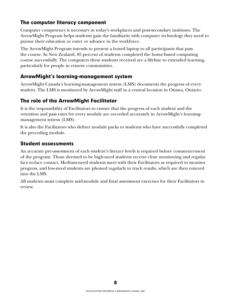#### **The computer literacy component**

Computer competency is necessary in today's workplaces and post-secondary institutes. The ArrowMight Program helps students gain the familiarity with computer technology they need to pursue their education or enter or advance in the workforce.

The ArrowMight Program intends to present a leased laptop to all participants that pass the course. In New Zealand, 85 percent of students completed the home-based computing course successfully. The computers these students received are a lifeline to extended learning, particularly for people in remote communities.

#### **ArrowMight's learning-management system**

ArrowMight Canada's learning-management system (LMS) documents the progress of every student. The LMS is monitored by ArrowMight staff in a central location in Ottawa, Ontario.

#### **The role of the ArrowMight Facilitator**

It is the responsibility of Facilitators to ensure that the progress of each student and the retention and pass rates for every module are recorded accurately in ArrowMight's learningmanagement system (LMS).

It is also the Facilitators who deliver module packs to students who have successfully completed the preceding module.

#### **Student assessments**

An accurate pre-assessment of each student's literacy levels is required before commencement of the program. Those deemed to be high-need students receive close monitoring and regular face-to-face contact. Medium-need students meet with their Facilitators as required to monitor progress, and low-need students are phoned regularly to track results, which are then entered into the LMS.

All students must complete mid-module and final assessment exercises for their Facilitators to review.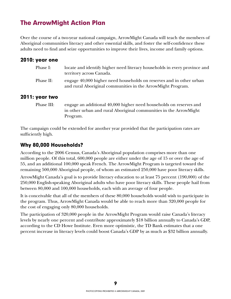## <span id="page-11-0"></span>**The ArrowMight Action Plan**

Over the course of a two-year national campaign, ArrowMight Canada will teach the members of Aboriginal communities literacy and other essential skills, and foster the self-confidence these adults need to find and seize opportunities to improve their lives, income and family options.

#### **2010: year one**

| Phase I:  | locate and identify higher need literacy households in every province and                                                           |
|-----------|-------------------------------------------------------------------------------------------------------------------------------------|
|           | territory across Canada.                                                                                                            |
| Phase II: | engage 40,000 higher need households on reserves and in other urban<br>and rural Aboriginal communities in the Arrow Might Program. |

#### **2011: year two**

Phase III: engage an additional 40,000 higher need households on reserves and in other urban and rural Aboriginal communities in the ArrowMight Program.

The campaign could be extended for another year provided that the participation rates are sufficiently high.

#### **Why 80,000 Households?**

According to the 2006 Census, Canada's Aboriginal population comprises more than one million people. Of this total, 600,000 people are either under the age of 15 or over the age of 55, and an additional 100,000 speak French. The ArrowMight Program is targeted toward the remaining 500,000 Aboriginal people, of whom an estimated 250,000 have poor literacy skills.

ArrowMight Canada's goal is to provide literacy education to at least 75 percent (190,000) of the 250,000 English-speaking Aboriginal adults who have poor literacy skills. These people hail from between 80,000 and 100,000 households, each with an average of four people.

It is conceivable that all of the members of these 80,000 households would wish to participate in the program. Thus, ArrowMight Canada would be able to reach more than 320,000 people for the cost of engaging only 80,000 households.

The participation of 320,000 people in the ArrowMight Program would raise Canada's literacy levels by nearly one percent and contribute approximately \$18 billion annually to Canada's GDP, according to the CD Howe Institute. Even more optimistic, the TD Bank estimates that a one percent increase in literacy levels could boost Canada's GDP by as much as \$32 billion annually.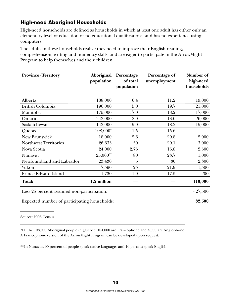#### **High-need Aboriginal Households**

High-need households are defined as households in which at least one adult has either only an elementary level of education or no educational qualifications, and has no experience using computers.

The adults in these households realize they need to improve their English reading, comprehension, writing and numeracy skills, and are eager to participate in the ArrowMight Program to help themselves and their children.

| <b>Province/Territory</b>                    | Aboriginal  | Percentage     | Percentage of | Number of  |
|----------------------------------------------|-------------|----------------|---------------|------------|
|                                              | population  | of total       | unemployment  | high-need  |
|                                              |             | population     |               | households |
|                                              |             |                |               |            |
| Alberta                                      | 188,000     | 6.4            | 11.2          | 19,000     |
| British Columbia                             | 196,000     | 5.0            | 19.7          | 21,000     |
| Manitoba                                     | 175,000     | 17.0           | 18.2          | 17,000     |
| Ontario                                      | 242,000     | 2.0            | 13.0          | 26,000     |
| Saskatchewan                                 | 142,000     | 15.0           | 18.2          | 15,000     |
| Quebec                                       | 108,000*    | 1.5            | 15.6          |            |
| New Brunswick                                | 18,000      | 2.6            | 20.8          | 2,000      |
| <b>Northwest Territories</b>                 | 26,633      | 50             | 20.1          | 3,000      |
| Nova Scotia                                  | 24,000      | 2.75           | 15.8          | 2,500      |
| Nunavut                                      | 25,000**    | 80             | 23.7          | 1,000      |
| Newfoundland and Labrador                    | 23,430      | $\overline{5}$ | 30            | 2,300      |
| Yukon                                        | 7,590       | 25             | 21.9          | 1,500      |
| Prince Edward Island                         | 1,730       | 1.0            | 17.5          | 200        |
| Total:                                       | 1.2 million |                |               | 110,000    |
| Less 25 percent assumed non-participation:   |             |                |               | $-27,500$  |
| Expected number of participating households: |             |                |               | 82,500     |

Source: 2006 Census

\*Of the 108,000 Aboriginal people in Quebec, 104,000 are Francophone and 4,000 are Anglophone. A Francophone version of the ArrowMight Program can be developed upon request.

\*\*In Nunavut, 90 percent of people speak native languages and 10 percent speak English.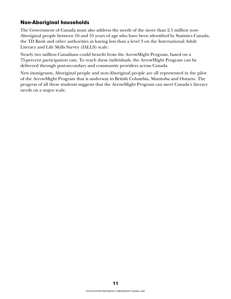#### **Non-Aboriginal households**

The Government of Canada must also address the needs of the more than 2.5 million non-Aboriginal people between 16 and 55 years of age who have been identified by Statistics Canada, the TD Bank and other authorities as having less than a level 3 on the International Adult Literacy and Life Skills Survey (IALLS) scale.

Nearly two million Canadians could benefit from the ArrowMight Program, based on a 75-percent participation rate, To reach these individuals, the ArrowMight Program can be delivered through post-secondary and community providers across Canada.

New immigrants, Aboriginal people and non-Aboriginal people are all represented in the pilot of the ArrowMight Program that is underway in British Columbia, Manitoba and Ontario. The progress of all these students suggests that the ArrowMight Program can meet Canada's literacy needs on a major scale.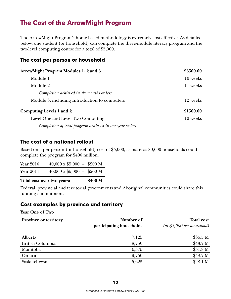## <span id="page-14-0"></span>**The Cost of the ArrowMight Program**

The ArrowMight Program's home-based methodology is extremely cost-effective. As detailed below, one student (or household) can complete the three-module literacy program and the two-level computing course for a total of \$5,000.

| <b>ArrowMight Program Modules 1, 2 and 3</b>              | \$3500.00 |
|-----------------------------------------------------------|-----------|
| Module 1                                                  | 10 weeks  |
| Module 2                                                  | 11 weeks  |
| Completion achieved in six months or less.                |           |
| Module 3, including Introduction to computers             | 12 weeks  |
| <b>Computing Levels 1 and 2</b>                           | \$1500.00 |
| Level One and Level Two Computing                         | 10 weeks  |
| Completion of total program achieved in one year or less. |           |
|                                                           |           |

#### **The cost of a national rollout**

Based on a per person (or household) cost of \$5,000, as many as 80,000 households could complete the program for \$400 million.

| Year 2010 | $40,000 \times $5,000 = $200 M$ |  |
|-----------|---------------------------------|--|
| Year 2011 | $40,000 \times $5,000 = $200 M$ |  |

**Total cost over two years: \$400 M** 

Federal, provincial and territorial governments and Aboriginal communities could share this funding commitment.

#### **Cost examples by province and territory**

**Year One of Two**

| Province or territory   | Number of                | <b>Total cost</b>                         |  |
|-------------------------|--------------------------|-------------------------------------------|--|
|                         | participating households | $(at \, \$5,000 \, \text{per household})$ |  |
| Alberta                 | 7,125                    | \$36.5 M                                  |  |
| <b>British Columbia</b> | 8,750                    | \$43.7 <sub>M</sub>                       |  |
| Manitoba                | 6,375                    | \$31.8 M                                  |  |
| Ontario                 | 9,750                    | \$48.7 <sub>M</sub>                       |  |
| Saskatchewan            | 5,625                    | \$28.1 M                                  |  |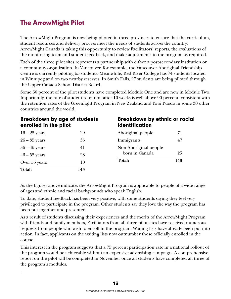## <span id="page-15-0"></span>**The ArrowMight Pilot**

.

The ArrowMight Program is now being piloted in three provinces to ensure that the curriculum, student resources and delivery process meet the needs of students across the country. ArrowMight Canada is taking this opportunity to review Facilitators' reports, the evaluations of the monitoring team and student feedback, and make adjustments to the program as required.

Each of the three pilot sites represents a partnership with either a post-secondary institution or a community organization. In Vancouver, for example, the Vancouver Aboriginal Friendship Centre is currently piloting 55 students. Meanwhile, Red River College has 74 students located in Winnipeg and on two nearby reserves. In Smith Falls, 27 students are being piloted through the Upper Canada School District Board.

Some 60 percent of the pilot students have completed Module One and are now in Module Two. Importantly, the rate of student retention after 10 weeks is well above 90 percent, consistent with the retention rates of the Greenlight Program in New Zealand and Yo si Puedo in some 30 other countries around the world.

| <b>Breakdown by age of students</b><br>enrolled in the pilot |     | <b>Breakdown by ethnic or racial</b><br>identification |    |  |
|--------------------------------------------------------------|-----|--------------------------------------------------------|----|--|
| $16 - 25$ years                                              | 29  | Aboriginal people                                      | 71 |  |
| $26 - 35$ years                                              | 35  | Immigrants                                             | 47 |  |
| $36 - 45$ years                                              | 41  | Non-Aboriginal people                                  |    |  |
| $46 - 55$ years                                              | 28  | born in Canada                                         | 25 |  |
| Over 55 years                                                | 10  | 143<br>Total:                                          |    |  |
| Total:                                                       | 143 |                                                        |    |  |

As the figures above indicate, the ArrowMight Program is applicable to people of a wide range of ages and ethnic and racial backgrounds who speak English.

To date, student feedback has been very positive, with some students saying they feel very privileged to participate in the program. Other students say they love the way the program has been put together and presented.

As a result of students discussing their experiences and the merits of the ArrowMight Program with friends and family members, Facilitators from all three pilot sites have received numerous requests from people who wish to enroll in the program. Waiting lists have already been put into action. In fact, applicants on the waiting lists now outnumber those officially enrolled in the course.

This interest in the program suggests that a 75 percent participation rate in a national rollout of the program would be achievable without an expensive advertising campaign. A comprehensive report on the pilot will be completed in November once all students have completed all three of the program's modules.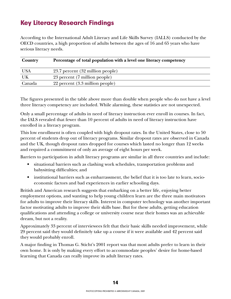## <span id="page-16-0"></span>**Key Literacy Research Findings**

According to the International Adult Literacy and Life Skills Survey (IALLS) conducted by the OECD countries, a high proportion of adults between the ages of 16 and 65 years who have serious literacy needs.

| Country    | Percentage of total population with a level one literacy competency |
|------------|---------------------------------------------------------------------|
| <b>USA</b> | 23.7 percent (32 million people)                                    |
| UK         | 23 percent (7 million people)                                       |
| Canada     | 22 percent (3.3 million people)                                     |

The figures presented in the table above more than double when people who do not have a level three literacy competency are included. While alarming, these statistics are not unexpected.

Only a small percentage of adults in need of literacy instruction ever enroll in courses. In fact, the IALS revealed that fewer than 10 percent of adults in need of literacy instruction have enrolled in a literacy program.

This low enrollment is often coupled with high dropout rates. In the United States, close to 50 percent of students drop out of literacy programs. Similar dropout rates are observed in Canada and the UK, though dropout rates dropped for courses which lasted no longer than 12 weeks and required a commitment of only an average of eight hours per week.

Barriers to participation in adult literacy programs are similar in all three countries and include:

- situational barriers such as clashing work schedules, transportation problems and babysitting difficulties; and
- institutional barriers such as embarrassment, the belief that it is too late to learn, socioeconomic factors and bad experiences in earlier schooling days.

British and American research suggests that embarking on a better life, enjoying better employment options, and wanting to help young children learn are the three main motivators for adults to improve their literacy skills. Interest in computer technology was another important factor motivating adults to improve their skills base. But for these adults, getting education qualifi cations and attending a college or university course near their homes was an achievable dream, but not a reality.

Approximately 33 percent of interviewees felt that their basic skills needed improvement, while 29 percent said they would definitely take up a course if it were available and 42 percent said they would probably enroll.

A major finding in Thomas G. Sticht's 2001 report was that most adults prefer to learn in their own home. It is only by making every effort to accommodate peoples' desire for home-based learning that Canada can really improve its adult literacy rates.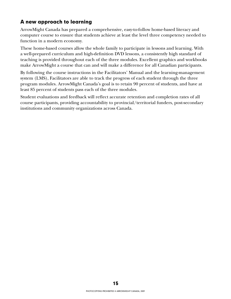#### **A new approach to learning**

ArrowMight Canada has prepared a comprehensive, easy-to-follow home-based literacy and computer course to ensure that students achieve at least the level three competency needed to function in a modern economy.

These home-based courses allow the whole family to participate in lessons and learning. With a well-prepared curriculum and high-definition DVD lessons, a consistently high standard of teaching is provided throughout each of the three modules. Excellent graphics and workbooks make ArrowMight a course that can and will make a difference for all Canadian participants.

By following the course instructions in the Facilitators' Manual and the learning-management system (LMS), Facilitators are able to track the progress of each student through the three program modules. ArrowMight Canada's goal is to retain 90 percent of students, and have at least 85 percent of students pass each of the three modules.

Student evaluations and feedback will reflect accurate retention and completion rates of all course participants, providing accountability to provincial/territorial funders, post-secondary institutions and community organizations across Canada.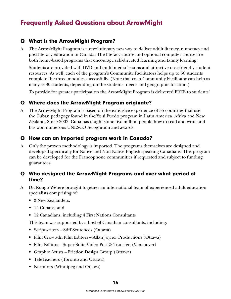## <span id="page-18-0"></span>**Frequently Asked Questions about ArrowMight**

#### **Q What is the ArrowMight Program?**

A The ArrowMight Program is a revolutionary new way to deliver adult literacy, numeracy and post-literacy education in Canada. The literacy course and optional computer course are both home-based programs that encourage self-directed learning and family learning.

Students are provided with DVD and multi-media lessons and attractive user-friendly student resources. As well, each of the program's Community Facilitators helps up to 50 students complete the three modules successfully. (Note that each Community Facilitator can help as many as 80 students, depending on the students' needs and geographic location.)

To provide for greater participation the ArrowMight Program is delivered FREE to students!

#### **Q Where does the ArrowMight Program originate?**

A The ArrowMight Program is based on the extensive experience of 35 countries that use the Cuban pedagogy found in the Yo si Puedo program in Latin America, Africa and New Zealand. Since 2002, Cuba has taught some five million people how to read and write and has won numerous UNESCO recognition and awards.

#### **Q How can an imported program work in Canada?**

A Only the proven methodology is imported. The programs themselves are designed and developed specifically for Native and Non-Native English speaking Canadians. This program can be developed for the Francophone communities if requested and subject to funding guarantees.

#### **Q Who designed the ArrowMight Programs and over what period of time?**

- A Dr. Rongo Wetere brought together an international team of experienced adult education specialists comprising of:
	- 3 New Zealanders,
	- 14 Cubans, and
	- 12 Canadians, including 4 First Nations Consultants

This team was supported by a host of Canadian consultants, including:

- Scriptwriters Stiff Sentences (Ottawa)
- Film Crew adn Film Editors Allan Joyner Productions (Ottawa)
- Film Editors Super Suite Video Post & Transfer, (Vancouver)
- Graphic Artists Friction Design Group (Ottawa)
- TeleTeachers (Toronto and Ottawa)
- Narrators (Winnipeg and Ottawa)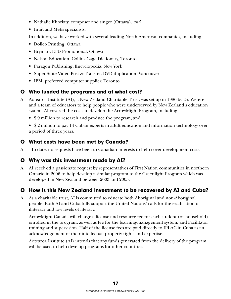- Nathalie Khoriaty, composer and singer (Ottawa), *and*
- Inuit and Métis specialists.

In addition, we have worked with several leading North American companies, including:

- Dollco Printing, Ottawa
- Brymark LTD Promotional, Ottawa
- Nelson Education, Collins-Gage Dictionary, Toronto
- Paragon Publishing, Encyclopedia, New York
- Super Suite Video Post & Transfer, DVD duplication, Vancouver
- IBM, preferred computer supplier, Toronto

#### **Q Who funded the programs and at what cost?**

- A Aotearoa Institute (AI), a New Zealand Charitable Trust, was set up in 1986 by Dr. Wetere and a team of educators to help people who were underserved by New Zealand's education system. AI covered the costs to develop the ArrowMight Program, including:
	- \$ 9 million to research and produce the program, and

• \$2 million to pay 14 Cuban experts in adult education and information technology over a period of three years.

#### **Q What costs have been met by Canada?**

A To date, no requests have been to Canadian interests to help cover development costs.

#### **Q Why was this investment made by AI?**

A AI received a passionate request by representatives of First Nation communities in northern Ontario in 2006 to help develop a similar program to the Greenlight Program which was developed in New Zealand between 2003 and 2005.

#### **Q How is this New Zealand investment to be recovered by AI and Cuba?**

A As a charitable trust, AI is committed to educate both Aboriginal and non-Aboriginal people. Both AI and Cuba fully support the United Nations' calls for the eradication of illiteracy and low levels of literacy.

ArrowMight Canada will charge a license and resource fee for each student (or household) enrolled in the program, as well as fee for the learning-management system, and Facilitator training and supervision. Half of the license fees are paid directly to IPLAC in Cuba as an acknowledgement of their intellectual property rights and expertise.

Aotearoa Institute (AI) intends that any funds generated from the delivery of the program will be used to help develop programs for other countries.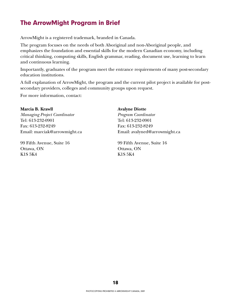## <span id="page-20-0"></span>**The ArrowMight Program in Brief**

ArrowMight is a registered trademark, branded in Canada.

The program focuses on the needs of both Aboriginal and non-Aboriginal people, and emphasizes the foundation and essential skills for the modern Canadian economy, including critical thinking, computing skills, English grammar, reading, document use, learning to learn and continuous learning.

Importantly, graduates of the program meet the entrance requirements of many post-secondary education institutions.

A full explanation of ArrowMight, the program and the current pilot project is available for postsecondary providers, colleges and community groups upon request.

For more information, contact:

#### **Marcia B. Krawll**

*Managing Project Coordinator* Tel: 613-232-0901 Fax: 613-232-8249 Email: marciak@arrowmight.ca

99 Fifth Avenue, Suite 16 Ottawa, ON K1S 5K4

#### **Avalyne Diotte**

*Program Coordinator* Tel: 613-232-0901 Fax: 613-232-8249 Email: avalyned@arrowmight.ca

99 Fifth Avenue, Suite 16 Ottawa, ON K1S 5K4